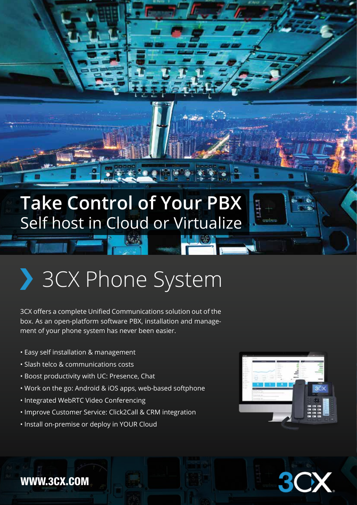## **Take Control of Your PBX** Self host in Cloud or Virtualize

# 3CX Phone System

3CX offers a complete Unified Communications solution out of the box. As an open-platform software PBX, installation and management of your phone system has never been easier.

- Easy self installation & management
- Slash telco & communications costs
- Boost productivity with UC: Presence, Chat
- Work on the go: Android & iOS apps, web-based softphone
- Integrated WebRTC Video Conferencing
- Improve Customer Service: Click2Call & CRM integration
- Install on-premise or deploy in YOUR Cloud



## WWW.3CX.COM